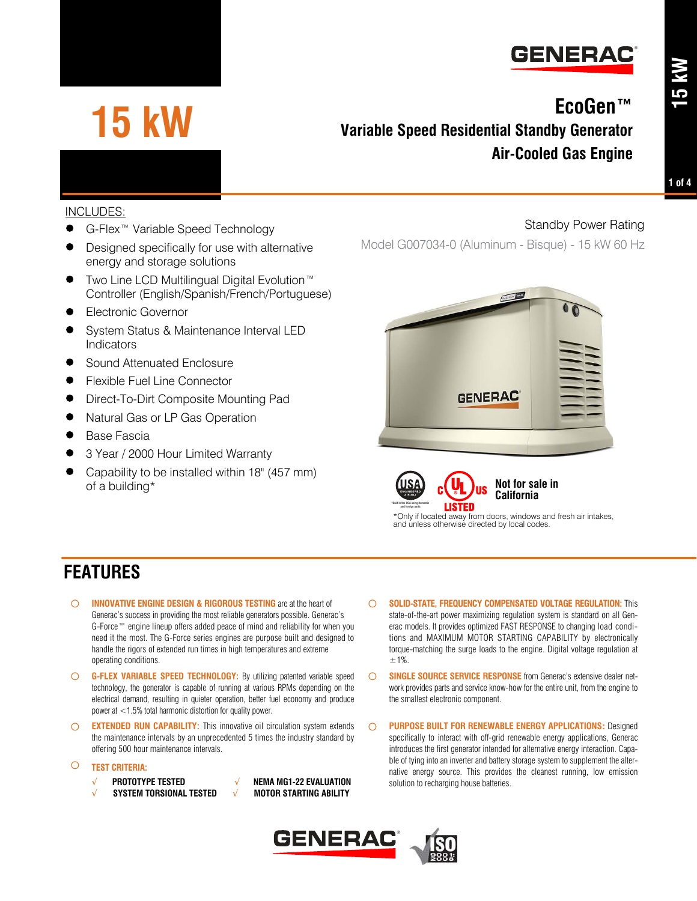

# **15 kW**

# **EcoGen™ Variable Speed Residential Standby Generator Air-Cooled Gas Engine**

**15 kW**

#### INCLUDES:

- G-Flex™ Variable Speed Technology
- Designed specifically for use with alternative energy and storage solutions
- Two Line LCD Multilingual Digital Evolution™ Controller (English/Spanish/French/Portuguese)
- Electronic Governor
- System Status & Maintenance Interval LED Indicators
- Sound Attenuated Enclosure
- Flexible Fuel Line Connector
- Direct-To-Dirt Composite Mounting Pad
- Natural Gas or LP Gas Operation
- Base Fascia
- 3 Year / 2000 Hour Limited Warranty
- Capability to be installed within 18" (457 mm) of a building\*

Standby Power Rating

Model G007034-0 (Aluminum - Bisque) - 15 kW 60 Hz





\*Only if located away from doors, windows and fresh air intakes, and unless otherwise directed by local codes.

### **FEATURES**

- **INNOVATIVE ENGINE DESIGN & RIGOROUS TESTING** are at the heart of Generac's success in providing the most reliable generators possible. Generac's G-Force™ engine lineup offers added peace of mind and reliability for when you need it the most. The G-Force series engines are purpose built and designed to handle the rigors of extended run times in high temperatures and extreme operating conditions.
- **G-FLEX VARIABLE SPEED TECHNOLOGY:** By utilizing patented variable speed technology, the generator is capable of running at various RPMs depending on the electrical demand, resulting in quieter operation, better fuel economy and produce power at <1.5% total harmonic distortion for quality power.
- **EXTENDED RUN CAPABILITY:** This innovative oil circulation system extends the maintenance intervals by an unprecedented 5 times the industry standard by offering 500 hour maintenance intervals.
- **TEST CRITERIA:**
	- √ **PROTOTYPE TESTED** √ **NEMA MG1-22 EVALUATION**
	- √ **SYSTEM TORSIONAL TESTED** √ **MOTOR STARTING ABILITY**

state-of-the-art power maximizing regulation system is standard on all Generac models. It provides optimized FAST RESPONSE to changing load conditions and MAXIMUM MOTOR STARTING CAPABILITY by electronically torque-matching the surge loads to the engine. Digital voltage regulation at  $+1%$ 

**SOLID-STATE, FREQUENCY COMPENSATED VOLTAGE REGULATION:** This

- **SINGLE SOURCE SERVICE RESPONSE** from Generac's extensive dealer network provides parts and service know-how for the entire unit, from the engine to the smallest electronic component.
- **PURPOSE BUILT FOR RENEWABLE ENERGY APPLICATIONS:** Designed specifically to interact with off-grid renewable energy applications, Generac introduces the first generator intended for alternative energy interaction. Capable of tying into an inverter and battery storage system to supplement the alternative energy source. This provides the cleanest running, low emission solution to recharging house batteries.

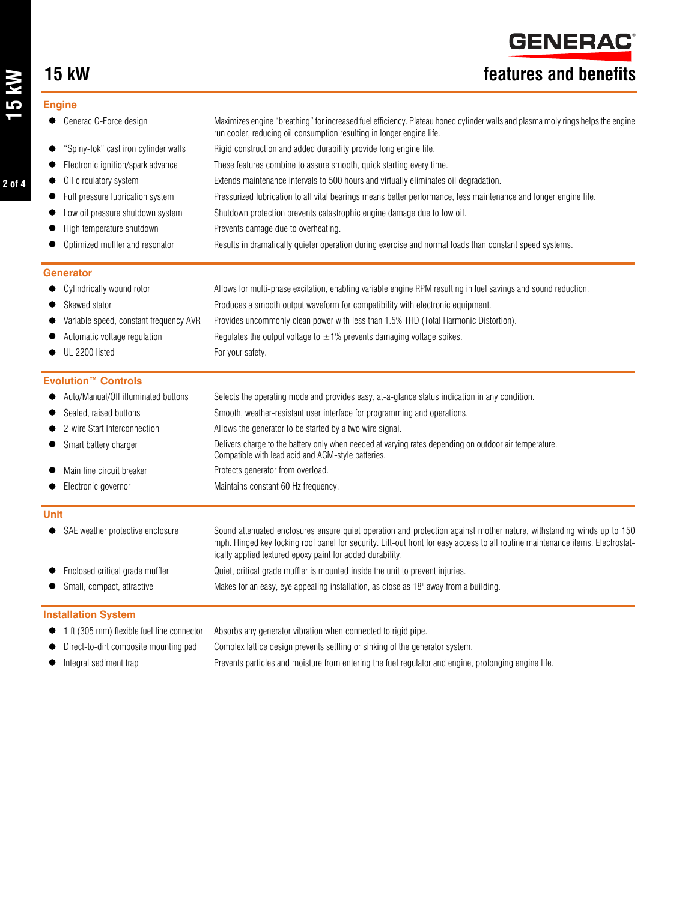**GENERAC** 

# **15 kW features and benefits**

#### **Engine**

| Generac G-Force design                 | Maximizes engine "breathing" for increased fuel efficiency. Plateau honed cylinder walls and plasma moly rings helps the engine<br>run cooler, reducing oil consumption resulting in longer engine life.                                                                                                             |
|----------------------------------------|----------------------------------------------------------------------------------------------------------------------------------------------------------------------------------------------------------------------------------------------------------------------------------------------------------------------|
| "Spiny-lok" cast iron cylinder walls   | Rigid construction and added durability provide long engine life.                                                                                                                                                                                                                                                    |
| Electronic ignition/spark advance      | These features combine to assure smooth, quick starting every time.                                                                                                                                                                                                                                                  |
| Oil circulatory system                 | Extends maintenance intervals to 500 hours and virtually eliminates oil degradation.                                                                                                                                                                                                                                 |
| Full pressure lubrication system       | Pressurized lubrication to all vital bearings means better performance, less maintenance and longer engine life.                                                                                                                                                                                                     |
| Low oil pressure shutdown system       | Shutdown protection prevents catastrophic engine damage due to low oil.                                                                                                                                                                                                                                              |
| High temperature shutdown              | Prevents damage due to overheating.                                                                                                                                                                                                                                                                                  |
| Optimized muffler and resonator        | Results in dramatically quieter operation during exercise and normal loads than constant speed systems.                                                                                                                                                                                                              |
| <b>Generator</b>                       |                                                                                                                                                                                                                                                                                                                      |
| Cylindrically wound rotor              | Allows for multi-phase excitation, enabling variable engine RPM resulting in fuel savings and sound reduction.                                                                                                                                                                                                       |
| Skewed stator                          | Produces a smooth output waveform for compatibility with electronic equipment.                                                                                                                                                                                                                                       |
| Variable speed, constant frequency AVR | Provides uncommonly clean power with less than 1.5% THD (Total Harmonic Distortion).                                                                                                                                                                                                                                 |
| Automatic voltage regulation           | Regulates the output voltage to $\pm$ 1% prevents damaging voltage spikes.                                                                                                                                                                                                                                           |
| UL 2200 listed                         | For your safety.                                                                                                                                                                                                                                                                                                     |
| <b>Evolution™ Controls</b>             |                                                                                                                                                                                                                                                                                                                      |
| Auto/Manual/Off illuminated buttons    | Selects the operating mode and provides easy, at-a-glance status indication in any condition.                                                                                                                                                                                                                        |
| Sealed, raised buttons                 | Smooth, weather-resistant user interface for programming and operations.                                                                                                                                                                                                                                             |
| 2-wire Start Interconnection           | Allows the generator to be started by a two wire signal.                                                                                                                                                                                                                                                             |
| Smart battery charger                  | Delivers charge to the battery only when needed at varying rates depending on outdoor air temperature.<br>Compatible with lead acid and AGM-style batteries.                                                                                                                                                         |
| Main line circuit breaker              | Protects generator from overload.                                                                                                                                                                                                                                                                                    |
| Electronic governor                    | Maintains constant 60 Hz frequency.                                                                                                                                                                                                                                                                                  |
| <b>Unit</b>                            |                                                                                                                                                                                                                                                                                                                      |
| SAE weather protective enclosure       | Sound attenuated enclosures ensure quiet operation and protection against mother nature, withstanding winds up to 150<br>mph. Hinged key locking roof panel for security. Lift-out front for easy access to all routine maintenance items. Electrostat-<br>ically applied textured epoxy paint for added durability. |
| Enclosed critical grade muffler        | Quiet, critical grade muffler is mounted inside the unit to prevent injuries.                                                                                                                                                                                                                                        |
| Small, compact, attractive             | Makes for an easy, eye appealing installation, as close as 18" away from a building.                                                                                                                                                                                                                                 |
| <b>Installation System</b>             |                                                                                                                                                                                                                                                                                                                      |
|                                        |                                                                                                                                                                                                                                                                                                                      |

- 1 ft (305 mm) flexible fuel line connector Absorbs any generator vibration when connected to rigid pipe.
- Direct-to-dirt composite mounting pad Complex lattice design prevents settling or sinking of the generator system.
- Integral sediment trap Prevents particles and moisture from entering the fuel regulator and engine, prolonging engine life.

**2 of 4**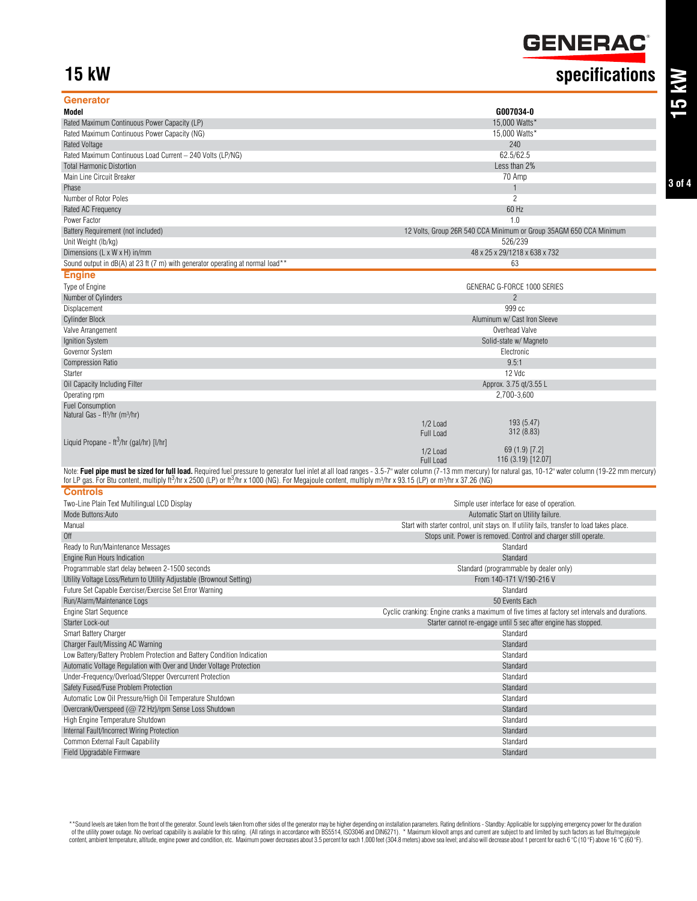# GENERAC<sup>®</sup>

# **15 kW specifications**

| Generator                                                                                                                                                                                                      |                                                                                                |
|----------------------------------------------------------------------------------------------------------------------------------------------------------------------------------------------------------------|------------------------------------------------------------------------------------------------|
| Model                                                                                                                                                                                                          | G007034-0                                                                                      |
| Rated Maximum Continuous Power Capacity (LP)                                                                                                                                                                   | 15,000 Watts*                                                                                  |
| Rated Maximum Continuous Power Capacity (NG)                                                                                                                                                                   | 15,000 Watts*                                                                                  |
| <b>Rated Voltage</b>                                                                                                                                                                                           | 240                                                                                            |
| Rated Maximum Continuous Load Current - 240 Volts (LP/NG)                                                                                                                                                      | 62.5/62.5                                                                                      |
| <b>Total Harmonic Distortion</b>                                                                                                                                                                               | Less than 2%                                                                                   |
| Main Line Circuit Breaker                                                                                                                                                                                      | 70 Amp                                                                                         |
| Phase                                                                                                                                                                                                          | $\mathbf{1}$                                                                                   |
| Number of Rotor Poles                                                                                                                                                                                          | $\overline{c}$                                                                                 |
| Rated AC Frequency                                                                                                                                                                                             | 60 Hz                                                                                          |
| Power Factor                                                                                                                                                                                                   | 1.0                                                                                            |
| Battery Requirement (not included)                                                                                                                                                                             | 12 Volts, Group 26R 540 CCA Minimum or Group 35AGM 650 CCA Minimum                             |
| Unit Weight (lb/kg)                                                                                                                                                                                            | 526/239                                                                                        |
| Dimensions (L x W x H) in/mm                                                                                                                                                                                   | 48 x 25 x 29/1218 x 638 x 732                                                                  |
| Sound output in dB(A) at 23 ft (7 m) with generator operating at normal load**                                                                                                                                 | 63                                                                                             |
|                                                                                                                                                                                                                |                                                                                                |
| <b>Engine</b>                                                                                                                                                                                                  |                                                                                                |
| Type of Engine                                                                                                                                                                                                 | GENERAC G-FORCE 1000 SERIES                                                                    |
| Number of Cylinders                                                                                                                                                                                            | $\overline{c}$                                                                                 |
| Displacement                                                                                                                                                                                                   | 999 cc                                                                                         |
| <b>Cylinder Block</b>                                                                                                                                                                                          | Aluminum w/ Cast Iron Sleeve                                                                   |
| Valve Arrangement                                                                                                                                                                                              | Overhead Valve                                                                                 |
| Ignition System                                                                                                                                                                                                | Solid-state w/ Magneto                                                                         |
| Governor System                                                                                                                                                                                                | Electronic                                                                                     |
| <b>Compression Ratio</b>                                                                                                                                                                                       | 9.5:1                                                                                          |
| Starter                                                                                                                                                                                                        | 12 Vdc                                                                                         |
| Oil Capacity Including Filter                                                                                                                                                                                  | Approx. 3.75 qt/3.55 L                                                                         |
| Operating rpm                                                                                                                                                                                                  | 2,700-3,600                                                                                    |
| <b>Fuel Consumption</b>                                                                                                                                                                                        |                                                                                                |
| Natural Gas - ft <sup>3</sup> /hr (m <sup>3</sup> /hr)                                                                                                                                                         |                                                                                                |
|                                                                                                                                                                                                                | 193 (5.47)<br>1/2 Load<br>312 (8.83)<br>Full Load                                              |
| Liquid Propane - $\text{ft}^3/\text{hr}$ (gal/hr) [I/hr]                                                                                                                                                       |                                                                                                |
|                                                                                                                                                                                                                | $69(1.9)$ [7.2]<br>$1/2$ Load                                                                  |
|                                                                                                                                                                                                                | 116 (3.19) [12.07]<br>Full Load                                                                |
| Note: Fuel pipe must be sized for full load. Required fuel pressure to generator fuel inlet at all load ranges - 3.5-7" water column (7-13 mm mercury) for natural gas, 10-12" water column (19-22 mm mercury) |                                                                                                |
| for LP gas. For Btu content, multiply ft <sup>3</sup> /hr x 2500 (LP) or ft <sup>3</sup> /hr x 1000 (NG). For Megajoule content, multiply m <sup>3</sup> /hr x 93.15 (LP) or m <sup>3</sup> /hr x 97.26 (NG)   |                                                                                                |
| <b>Controls</b>                                                                                                                                                                                                |                                                                                                |
| Two-Line Plain Text Multilingual LCD Display                                                                                                                                                                   | Simple user interface for ease of operation.                                                   |
| Mode Buttons: Auto                                                                                                                                                                                             | Automatic Start on Utility failure.                                                            |
| Manual                                                                                                                                                                                                         | Start with starter control, unit stays on. If utility fails, transfer to load takes place.     |
| Off                                                                                                                                                                                                            | Stops unit. Power is removed. Control and charger still operate.                               |
| Ready to Run/Maintenance Messages                                                                                                                                                                              | Standard                                                                                       |
| Engine Run Hours Indication                                                                                                                                                                                    | Standard                                                                                       |
| Programmable start delay between 2-1500 seconds                                                                                                                                                                | Standard (programmable by dealer only)                                                         |
| Utility Voltage Loss/Return to Utility Adjustable (Brownout Setting)                                                                                                                                           | From 140-171 V/190-216 V                                                                       |
| Future Set Capable Exerciser/Exercise Set Error Warning                                                                                                                                                        | Standard                                                                                       |
| Run/Alarm/Maintenance Logs                                                                                                                                                                                     | 50 Events Each                                                                                 |
|                                                                                                                                                                                                                |                                                                                                |
| <b>Engine Start Sequence</b>                                                                                                                                                                                   | Cyclic cranking: Engine cranks a maximum of five times at factory set intervals and durations. |
| Starter Lock-out                                                                                                                                                                                               | Starter cannot re-engage until 5 sec after engine has stopped.                                 |
| Smart Battery Charger                                                                                                                                                                                          | Standard                                                                                       |
| Charger Fault/Missing AC Warning                                                                                                                                                                               | Standard                                                                                       |
| Low Battery/Battery Problem Protection and Battery Condition Indication                                                                                                                                        | Standard                                                                                       |
| Automatic Voltage Regulation with Over and Under Voltage Protection                                                                                                                                            | Standard                                                                                       |
| Under-Frequency/Overload/Stepper Overcurrent Protection                                                                                                                                                        | Standard                                                                                       |
| Safety Fused/Fuse Problem Protection                                                                                                                                                                           | Standard                                                                                       |
| Automatic Low Oil Pressure/High Oil Temperature Shutdown                                                                                                                                                       | Standard                                                                                       |
| Overcrank/Overspeed (@ 72 Hz)/rpm Sense Loss Shutdown                                                                                                                                                          | Standard                                                                                       |
| High Engine Temperature Shutdown                                                                                                                                                                               | Standard                                                                                       |
| Internal Fault/Incorrect Wiring Protection                                                                                                                                                                     | Standard                                                                                       |
| Common External Fault Capability                                                                                                                                                                               | Standard                                                                                       |
| Field Upgradable Firmware                                                                                                                                                                                      | Standard                                                                                       |

\*\*Sound levels are taken from the front of the generator. Sound levels taken from other sides of the generator may be higher depending on installation parameters. Rating definitions - Standby: Applicable for supplying emer content, ambient temperature, altitude, engine power and condition, etc. Maximum power decreases about 3.5 percent for each 1,000 feet (304.8 meters) above sea level; and also will decrease about 1 percent for each 6 °C (1